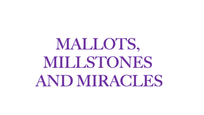# MALLOTS, MILLSTONES AND MIRACLES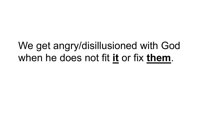#### We get angry/disillusioned with God when he does not fit **it** or fix **them**.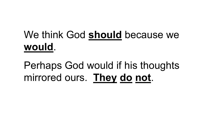### We think God **should** because we **would**.

#### Perhaps God would if his thoughts mirrored ours. **They do not**.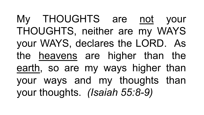My THOUGHTS are not your THOUGHTS, neither are my WAYS your WAYS, declares the LORD. As the heavens are higher than the earth, so are my ways higher than your ways and my thoughts than your thoughts. *(Isaiah 55:8-9)*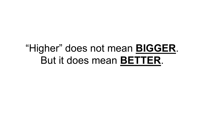#### "Higher" does not mean **BIGGER**. But it does mean **BETTER**.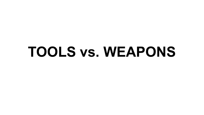## **TOOLS vs. WEAPONS**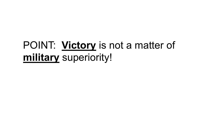#### POINT: **Victory** is not a matter of **military** superiority!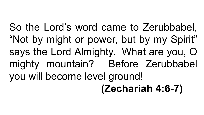So the Lord's word came to Zerubbabel, "Not by might or power, but by my Spirit" says the Lord Almighty. What are you, O mighty mountain? Before Zerubbabel you will become level ground! **(Zechariah 4:6-7)**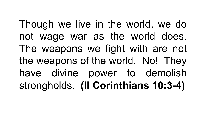Though we live in the world, we do not wage war as the world does. The weapons we fight with are not the weapons of the world. No! They have divine power to demolish strongholds. **(II Corinthians 10:3-4)**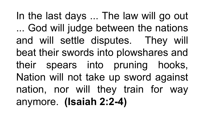In the last days ... The law will go out ... God will judge between the nations and will settle disputes. They will beat their swords into plowshares and their spears into pruning hooks, Nation will not take up sword against nation, nor will they train for way anymore. **(Isaiah 2:2-4)**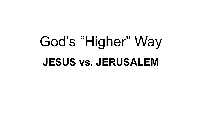## God's "Higher" Way **JESUS vs. JERUSALEM**